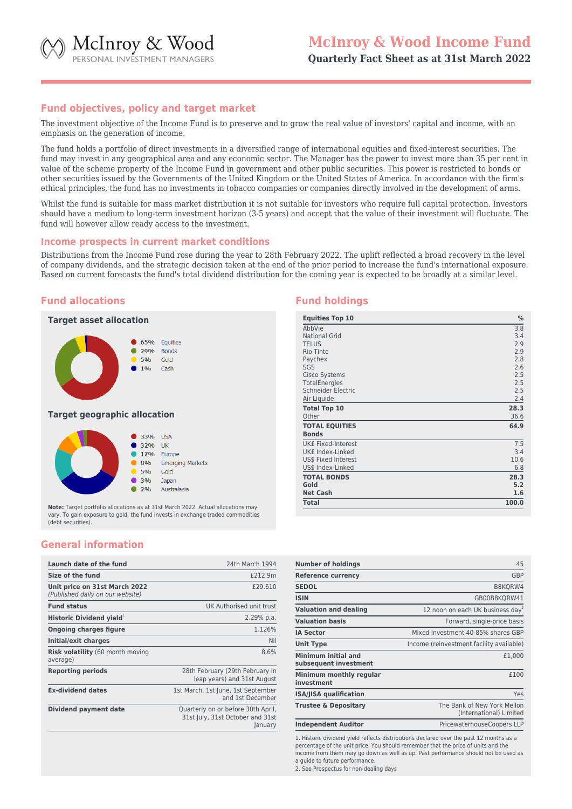

# **Fund objectives, policy and target market**

The investment objective of the Income Fund is to preserve and to grow the real value of investors' capital and income, with an emphasis on the generation of income.

The fund holds a portfolio of direct investments in a diversified range of international equities and fixed-interest securities. The fund may invest in any geographical area and any economic sector. The Manager has the power to invest more than 35 per cent in value of the scheme property of the Income Fund in government and other public securities. This power is restricted to bonds or other securities issued by the Governments of the United Kingdom or the United States of America. In accordance with the firm's ethical principles, the fund has no investments in tobacco companies or companies directly involved in the development of arms.

Whilst the fund is suitable for mass market distribution it is not suitable for investors who require full capital protection. Investors should have a medium to long-term investment horizon (3-5 years) and accept that the value of their investment will fluctuate. The fund will however allow ready access to the investment.

#### **Income prospects in current market conditions**

Distributions from the Income Fund rose during the year to 28th February 2022. The uplift reflected a broad recovery in the level of company dividends, and the strategic decision taken at the end of the prior period to increase the fund's international exposure. Based on current forecasts the fund's total dividend distribution for the coming year is expected to be broadly at a similar level.

# **Fund allocations**





**Note:** Target portfolio allocations as at 31st March 2022. Actual allocations may vary. To gain exposure to gold, the fund invests in exchange traded commodities (debt securities).

## **Fund holdings**

| <b>Equities Top 10</b>    | $\%$  |
|---------------------------|-------|
| AbbVie                    | 3.8   |
| <b>National Grid</b>      | 3.4   |
| <b>TELUS</b>              | 2.9   |
| Rio Tinto                 | 2.9   |
| Paychex                   | 2.8   |
| SGS                       | 2.6   |
| Cisco Systems             | 2.5   |
| TotalEnergies             | 2.5   |
| Schneider Electric        | 2.5   |
| Air Liquide               | 2.4   |
| <b>Total Top 10</b>       | 28.3  |
| Other                     | 36.6  |
| <b>TOTAL EQUITIES</b>     | 64.9  |
| <b>Bonds</b>              |       |
| <b>UK£ Fixed-Interest</b> | 7.5   |
| UK£ Index-Linked          | 3.4   |
| US\$ Fixed Interest       | 10.6  |
| US\$ Index-Linked         | 6.8   |
| <b>TOTAL BONDS</b>        | 28.3  |
| Gold                      | 5.2   |
| <b>Net Cash</b>           | 1.6   |
| <b>Total</b>              | 100.0 |

# **General information**

| Launch date of the fund                                           | 24th March 1994                                                                   |
|-------------------------------------------------------------------|-----------------------------------------------------------------------------------|
| Size of the fund                                                  | £212.9m                                                                           |
| Unit price on 31st March 2022<br>(Published daily on our website) | £29.610                                                                           |
| <b>Fund status</b>                                                | UK Authorised unit trust                                                          |
| Historic Dividend yield                                           | 2.29% p.a.                                                                        |
| <b>Ongoing charges figure</b>                                     | 1.126%                                                                            |
| Initial/exit charges                                              | Nil                                                                               |
| <b>Risk volatility</b> (60 month moving<br>average)               | 8.6%                                                                              |
| <b>Reporting periods</b>                                          | 28th February (29th February in<br>leap years) and 31st August                    |
| <b>Ex-dividend dates</b>                                          | 1st March, 1st June, 1st September<br>and 1st December                            |
| Dividend payment date                                             | Quarterly on or before 30th April,<br>31st July, 31st October and 31st<br>January |

| <b>Number of holdings</b>                           | 45                                                     |
|-----------------------------------------------------|--------------------------------------------------------|
| <b>Reference currency</b>                           | GBP                                                    |
| <b>SEDOL</b>                                        | B8KQRW4                                                |
| <b>ISIN</b>                                         | GB00B8KQRW41                                           |
| <b>Valuation and dealing</b>                        | 12 noon on each UK business day <sup>2</sup>           |
| <b>Valuation basis</b>                              | Forward, single-price basis                            |
| <b>IA Sector</b>                                    | Mixed Investment 40-85% shares GBP                     |
| <b>Unit Type</b>                                    | Income (reinvestment facility available)               |
| <b>Minimum initial and</b><br>subsequent investment | £1.000                                                 |
| Minimum monthly regular<br>investment               | £100                                                   |
| <b>ISA/JISA qualification</b>                       | Yes                                                    |
| <b>Trustee &amp; Depositary</b>                     | The Bank of New York Mellon<br>(International) Limited |
| <b>Independent Auditor</b>                          | PricewaterhouseCoopers LLP                             |

1. Historic dividend yield reflects distributions declared over the past 12 months as a percentage of the unit price. You should remember that the price of units and the income from them may go down as well as up. Past performance should not be used as a guide to future performance.

2. See Prospectus for non-dealing days